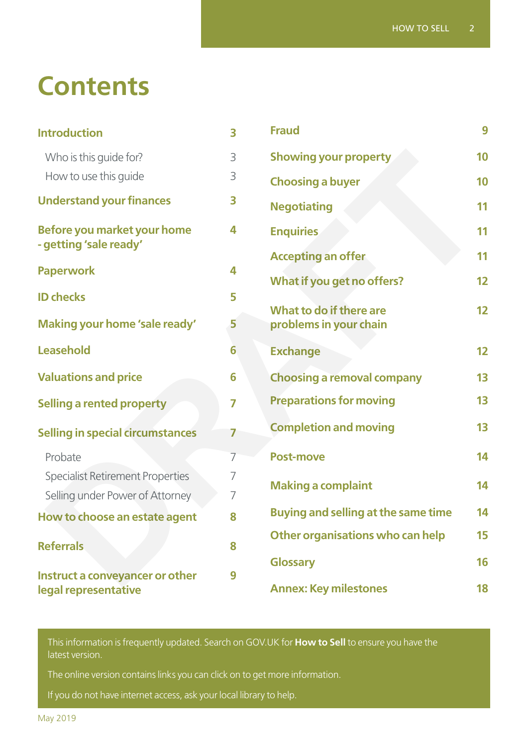# **Contents**

| <b>Introduction</b>                                     | 3              | <b>Fraud</b>                               | 9  |
|---------------------------------------------------------|----------------|--------------------------------------------|----|
| Who is this guide for?                                  | 3              | <b>Showing your property</b><br>10         |    |
| How to use this guide                                   | 3              | <b>Choosing a buyer</b>                    | 10 |
| <b>Understand your finances</b>                         | 3              | <b>Negotiating</b>                         | 11 |
| Before you market your home<br>- getting 'sale ready'   | 4              | <b>Enquiries</b>                           | 11 |
|                                                         |                | <b>Accepting an offer</b>                  | 11 |
| <b>Paperwork</b><br>4                                   |                | What if you get no offers?                 | 12 |
| <b>ID checks</b>                                        | 5              | What to do if there are                    | 12 |
| Making your home 'sale ready'                           | 5              | problems in your chain                     |    |
| <b>Leasehold</b>                                        | 6              | <b>Exchange</b>                            | 12 |
| <b>Valuations and price</b>                             | 6              | <b>Choosing a removal company</b><br>13    |    |
| <b>Selling a rented property</b>                        | $\overline{7}$ | <b>Preparations for moving</b><br>13       |    |
| <b>Selling in special circumstances</b>                 | 7              | 13<br><b>Completion and moving</b>         |    |
| Probate                                                 | 7              | <b>Post-move</b>                           | 14 |
| <b>Specialist Retirement Properties</b>                 | 7              |                                            |    |
| Selling under Power of Attorney                         | 7              | <b>Making a complaint</b>                  | 14 |
| How to choose an estate agent                           | 8              | <b>Buying and selling at the same time</b> | 14 |
| <b>Referrals</b><br>8                                   |                | Other organisations who can help           | 15 |
|                                                         |                | <b>Glossary</b>                            | 16 |
| Instruct a conveyancer or other<br>legal representative | 9              | <b>Annex: Key milestones</b>               | 18 |

This information is frequently updated. Search on [GOV.UK](http://GOV.UK) for **How to Sell** to ensure you have the latest version.

The online version contains links you can click on to get more information.

If you do not have internet access, ask your local library to help.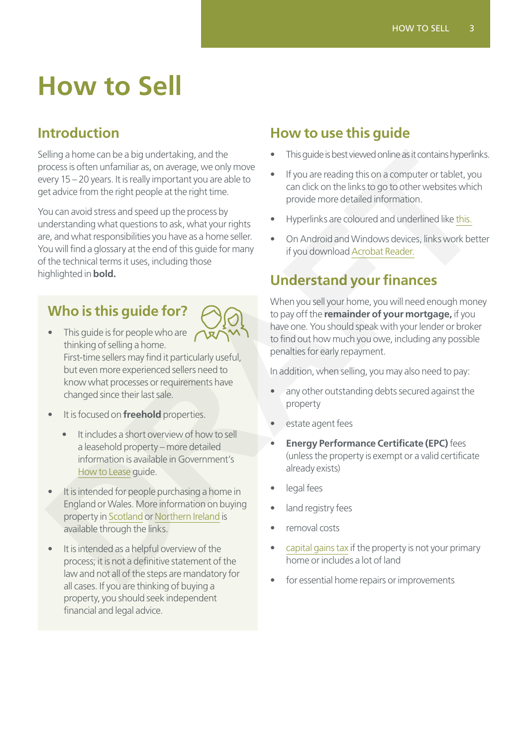# **How to Sell**

# <span id="page-2-0"></span>**Introduction**

Selling a home can be a big undertaking, and the process is often unfamiliar as, on average, we only move every 15 – 20 years. It is really important you are able to get advice from the right people at the right time.

You can avoid stress and speed up the process by understanding what questions to ask, what your rights are, and what responsibilities you have as a home seller. You will find a glossary at the end of this guide for many of the technical terms it uses, including those highlighted in **bold.** Sling a home can be a big undertaking, and the<br>
very [FT](https://get.adobe.com/uk/reader/)-20 years, it is reputate the signal of the signal of the signal of the signal of the signal of the signal of the signal of the signal of the signal of the signal of

# **Who is this guide for?**



- This guide is for people who are  $\sqrt{ }$ thinking of selling a home. First-time sellers may find it particularly useful, but even more experienced sellers need to know what processes or requirements have changed since their last sale.
- It is focused on **freehold** properties.
	- It includes a short overview of how to sell a leasehold property – more detailed information is available in Government's How to Lease guide.
- It is intended for people purchasing a home in England or Wales. More information on buying property in Scotland or Northern Ireland is available through the links.
- It is intended as a helpful overview of the process; it is not a definitive statement of the law and not all of the steps are mandatory for all cases. If you are thinking of buying a property, you should seek independent financial and legal advice.

# **How to use this guide**

- This guide is best viewed online as it contains hyperlinks.
- If you are reading this on a computer or tablet, you can click on the links to go to other websites which provide more detailed information.
- Hyperlinks are coloured and underlined like this.
- On Android and Windows devices, links work better if you download Acrobat Reader.

# **Understand your finances**

When you sell your home, you will need enough money to pay off the **remainder of your mortgage,** if you have one. You should speak with your lender or broker to find out how much you owe, including any possible penalties for early repayment.

In addition, when selling, you may also need to pay:

- any other outstanding debts secured against the property
- estate agent fees
- **Energy Performance Certificate (EPC)** fees (unless the property is exempt or a valid certificate already exists)
- legal fees
- land registry fees
- removal costs
- capital gains tax if the property is not your primary home or includes a lot of land
- for essential home repairs or improvements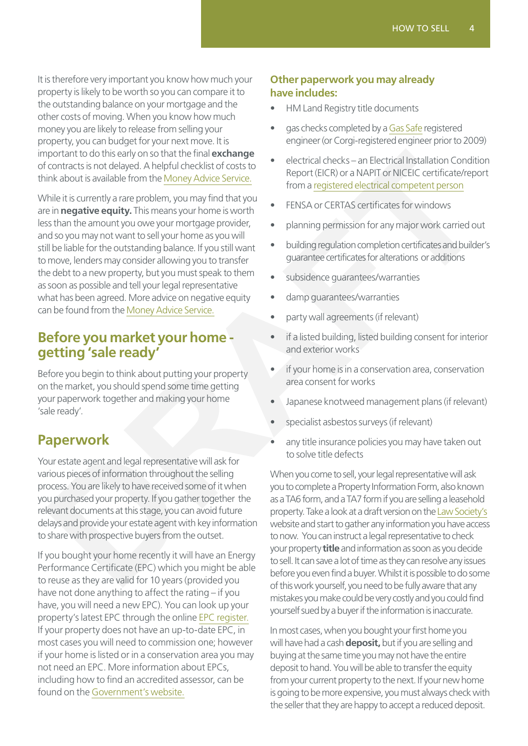It is therefore very important you know how much your property is likely to be worth so you can compare it to the outstanding balance on your mortgage and the other costs of moving. When you know how much money you are likely to release from selling your property, you can budget for your next move. It is important to do this early on so that the final **exchange** of contracts is not delayed. A helpful checklist of costs to think about is available from the Money Advice Service.

While it is currently a rare problem, you may find that you are in **negative equity.** This means your home is worth less than the amount you owe your mortgage provider, and so you may not want to sell your home as you will still be liable for the outstanding balance. If you still want to move, lenders may consider allowing you to transfer the debt to a new property, but you must speak to them as soon as possible and tell your legal representative what has been agreed. More advice on negative equity can be found from the Money Advice Service. provided to bise early on so that the final **exhape the matrix contracts** in the principal properties the proof the Money [A](https://www.moneyadviceservice.org.uk/en/articles/negative-equity-what-it-means-and-what-you-can-do-about-it)dvise Service the contract precise the control interaction of the Money Advise Service the matrix o

### **Before you market your home getting 'sale ready'**

Before you begin to think about putting your property on the market, you should spend some time getting your paperwork together and making your home 'sale ready'.

# **Paperwork**

Your estate agent and legal representative will ask for various pieces of information throughout the selling process. You are likely to have received some of it when you purchased your property. If you gather together the relevant documents at this stage, you can avoid future delays and provide your estate agent with key information to share with prospective buyers from the outset.

If you bought your home recently it will have an Energy Performance Certificate (EPC) which you might be able to reuse as they are valid for 10 years (provided you have not done anything to affect the rating – if you have, you will need a new EPC). You can look up your property's latest EPC through the online [EPC register.](https://www.epcregister.com/reportSearchAddressByPostcode.html) If your property does not have an up-to-date EPC, in most cases you will need to commission one; however if your home is listed or in a conservation area you may not need an EPC. More information about EPCs, including how to find an accredited assessor, can be found on the [Government's website.](https://www.gov.uk/buy-sell-your-home/energy-performance-certificates)

#### **Other paperwork you may already have includes:**

- HM Land Registry title documents
- gas checks completed by a [Gas Safe](https://www.gassaferegister.co.uk/) registered engineer (or Corgi-registered engineer prior to 2009)
- electrical checks an Electrical Installation Condition Report (EICR) or a NAPIT or NICEIC certificate/report from a registered electrical competent person
- FENSA or CERTAS certificates for windows
- planning permission for any major work carried out
- building regulation completion certificates and builder's guarantee certificates for alterations or additions
- subsidence quarantees/warranties
- damp quarantees/warranties
- party wall agreements (if relevant)
- if a listed building, listed building consent for interior and exterior works
- if your home is in a conservation area, conservation area consent for works
- Japanese knotweed management plans (if relevant)
- specialist asbestos surveys (if relevant)
- any title insurance policies you may have taken out to solve title defects

When you come to sell, your legal representative will ask you to complete a Property Information Form, also known as a TA6 form, and a TA7 form if you are selling a leasehold property. Take a look at a draft version on the Law Society's website and start to gather any information you have access to now. You can instruct a legal representative to check your property **title** and information as soon as you decide to sell. It can save a lot of time as they can resolve any issues before you even find a buyer. Whilst it is possible to do some of this work yourself, you need to be fully aware that any mistakes you make could be very costly and you could find yourself sued by a buyer if the information is inaccurate.

In most cases, when you bought your first home you will have had a cash **deposit,** but if you are selling and buying at the same time you may not have the entire deposit to hand. You will be able to transfer the equity from your current property to the next. If your new home is going to be more expensive, you must always check with the seller that they are happy to accept a reduced deposit.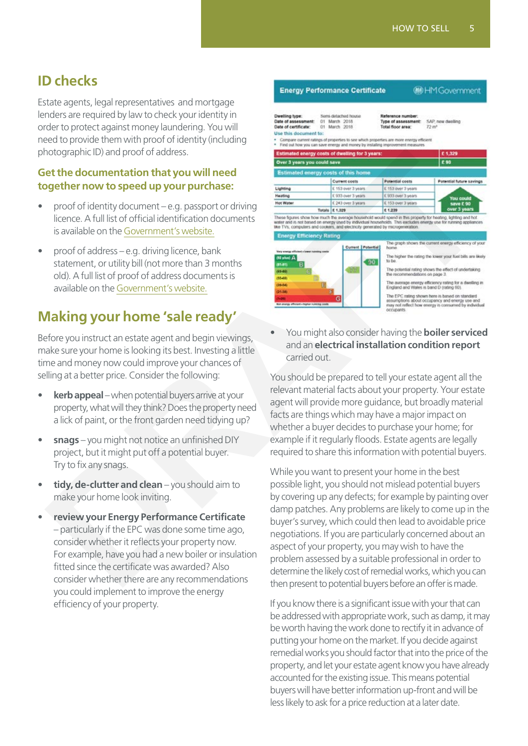# <span id="page-4-0"></span>**ID checks**

Estate agents, legal representatives and mortgage lenders are required by law to check your identity in order to protect against money laundering. You will need to provide them with proof of identity (including photographic ID) and proof of address.

#### **Get the documentation that you will need together now to speed up your purchase:**

- proof of identity document  $-e.g.$  passport or driving licence. A full list of official identification documents is available on the Government's website.
- proof of address e.g. driving licence, bank statement, or utility bill (not more than 3 months old). A full list of proof of address documents is available on the Government's website.

## **Making your home 'sale ready'**

Before you instruct an estate agent and begin viewings, make sure your home is looking its best. Investing a little time and money now could improve your chances of selling at a better price. Consider the following:

- **kerb appeal** when potential buyers arrive at your property, what will they think? Does the property need a lick of paint, or the front garden need tidying up?
- **snags** you might not notice an unfinished DIY project, but it might put off a potential buyer. Try to fix any snags.
- **tidy, de-clutter and clean** you should aim to make your home look inviting.
- **review your Energy Performance Certificate** – particularly if the EPC was done some time ago, consider whether it reflects your property now. For example, have you had a new boiler or insulation fitted since the certificate was awarded? Also consider whether there are any recommendations you could implement to improve the energy efficiency of your property.



• You might also consider having the **boiler serviced** and an **electrical installation condition report** carried out.

You should be prepared to tell your estate agent all the relevant material facts about your property. Your estate agent will provide more guidance, but broadly material facts are things which may have a major impact on whether a buyer decides to purchase your home; for example if it regularly floods. Estate agents are legally required to share this information with potential buyers.

While you want to present your home in the best possible light, you should not mislead potential buyers by covering up any defects; for example by painting over damp patches. Any problems are likely to come up in the buyer's survey, which could then lead to avoidable price negotiations. If you are particularly concerned about an aspect of your property, you may wish to have the problem assessed by a suitable professional in order to determine the likely cost of remedial works, which you can then present to potential buyers before an offer is made.

If you know there is a significant issue with your that can be addressed with appropriate work, such as damp, it may be worth having the work done to rectify it in advance of putting your home on the market. If you decide against remedial works you should factor that into the price of the property, and let your estate agent know you have already accounted for the existing issue. This means potential buyers will have better information up-front and will be less likely to ask for a price reduction at a later date.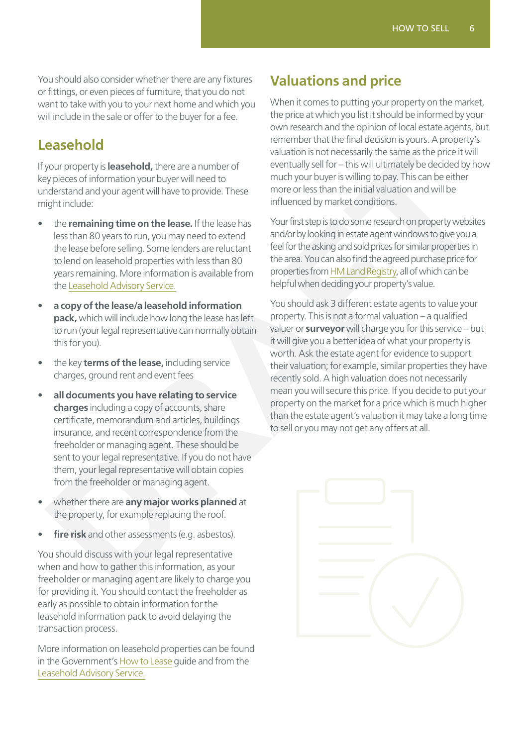You should also consider whether there are any fixtures or fittings, or even pieces of furniture, that you do not want to take with you to your next home and which you will include in the sale or offer to the buyer for a fee.

### <span id="page-5-0"></span>**Leasehold**

If your property is **leasehold,** there are a number of key pieces of information your buyer will need to understand and your agent will have to provide. These might include:

- the **remaining time on the lease.** If the lease has less than 80 years to run, you may need to extend the lease before selling. Some lenders are reluctant to lend on leasehold properties with less than 80 years remaining. More information is available from the Leasehold Advisory Service.
- **a copy of the lease/a leasehold information pack,** which will include how long the lease has left to run (your legal representative can normally obtain this for you).
- the key **terms of the lease,** including service charges, ground rent and event fees
- **all documents you have relating to service charges** including a copy of accounts, share certificate, memorandum and articles, buildings insurance, and recent correspondence from the freeholder or managing agent. These should be sent to your legal representative. If you do not have them, your legal representative will obtain copies from the freeholder or managing agent.
- whether there are **any major works planned** at the property, for example replacing the roof.
- **fire risk** and other assessments (e.g. asbestos).

You should discuss with your legal representative when and how to gather this information, as your freeholder or managing agent are likely to charge you for providing it. You should contact the freeholder as early as possible to obtain information for the leasehold information pack to avoid delaying the transaction process.

More information on leasehold properties can be found in the Government's [How to Lease](https://assets.publishing.service.gov.uk/government/uploads/system/uploads/attachment_data/file/718972/How_to_Lease_Jun18.pdf) guide and from the [Leasehold Advisory Service.](https://www.lease-advice.org/)

# **Valuations and price**

When it comes to putting your property on the market, the price at which you list it should be informed by your own research and the opinion of local estate agents, but remember that the final decision is yours. A property's valuation is not necessarily the same as the price it will eventually sell for – this will ultimately be decided by how much your buyer is willing to pay. This can be either more or less than the initial valuation and will be influenced by market conditions.

Your first step is to do some research on property websites and/or by looking in estate agent windows to give you a feel for the asking and sold prices for similar properties in the area. You can also find the agreed purchase price for properties from HM Land Registry, all of which can be helpful when deciding your property's value.

You should ask 3 different estate agents to value your property. This is not a formal valuation – a qualified valuer or **surveyor** will charge you for this service – but it will give you a better idea of what your property is worth. Ask the estate agent for evidence to support their valuation; for example, similar properties they have recently sold. A high valuation does not necessarily mean you will secure this price. If you decide to put your property on the market for a price which is much higher than the estate agent's valuation it may take a long time to sell or you may not get any offers at all. **Example the start of the start of the start of the start of the start of the start of the start of the start of the property is lease to more properties with more than the start of the conditions of the more of the more o** 

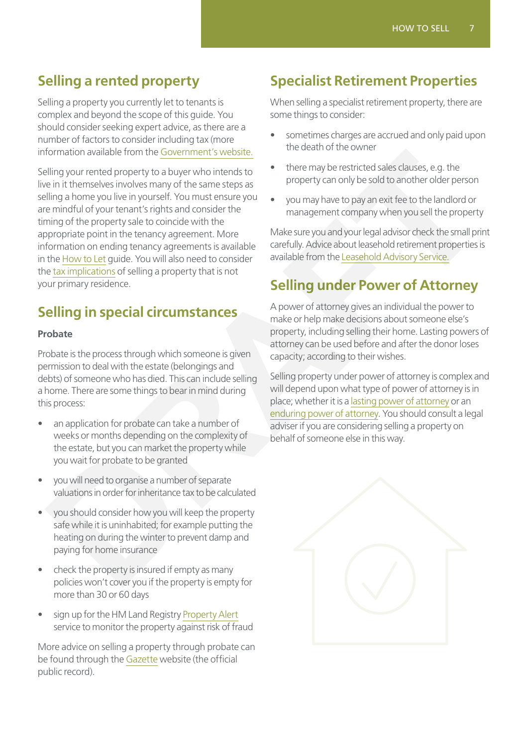# <span id="page-6-0"></span>**Selling a rented property**

Selling a property you currently let to tenants is complex and beyond the scope of this guide. You should consider seeking expert advice, as there are a number of factors to consider including tax (more information available from the [Government's website.](https://www.gov.uk/tax-sell-property)

Selling your rented property to a buyer who intends to live in it themselves involves many of the same steps as selling a home you live in yourself. You must ensure you are mindful of your tenant's rights and consider the timing of the property sale to coincide with the appropriate point in the tenancy agreement. More information on ending tenancy agreements is available in the How to Let guide. You will also need to consider the tax implications of selling a property that is not your primary residence. Iomation available from the <u>Government's website</u><br>
in the near of the terms of the security of a buyer who intends to<br>  $\frac{1}{2}$  the terms the securities is class clauses, e.g. the<br>
in it thermselves involves many of the

# **Selling in special circumstances**

#### **Probate**

Probate is the process through which someone is given permission to deal with the estate (belongings and debts) of someone who has died. This can include selling a home. There are some things to bear in mind during this process:

- an application for probate can take a number of weeks or months depending on the complexity of the estate, but you can market the property while you wait for probate to be granted
- you will need to organise a number of separate valuations in order for inheritance tax to be calculated
- you should consider how you will keep the property safe while it is uninhabited; for example putting the heating on during the winter to prevent damp and paying for home insurance
- check the property is insured if empty as many policies won't cover you if the property is empty for more than 30 or 60 days
- sign up for the HM Land Registry [Property Alert](https://propertyalert.landregistry.gov.uk/) service to monitor the property against risk of fraud

More advice on selling a property through probate can be found through the [Gazette](https://www.thegazette.co.uk/all-notices/content/100719) website (the official public record).

# **Specialist Retirement Properties**

When selling a specialist retirement property, there are some things to consider:

- sometimes charges are accrued and only paid upon the death of the owner
- there may be restricted sales clauses, e.g. the property can only be sold to another older person
- you may have to pay an exit fee to the landlord or management company when you sell the property

Make sure you and your legal advisor check the small print carefully. Advice about leasehold retirement properties is available from the Leasehold Advisory Service.

# **Selling under Power of Attorney**

A power of attorney gives an individual the power to make or help make decisions about someone else's property, including selling their home. Lasting powers of attorney can be used before and after the donor loses capacity; according to their wishes.

Selling property under power of attorney is complex and will depend upon what type of power of attorney is in place; whether it is a lasting power of attorney or an enduring power of attorney. You should consult a legal adviser if you are considering selling a property on behalf of someone else in this way.

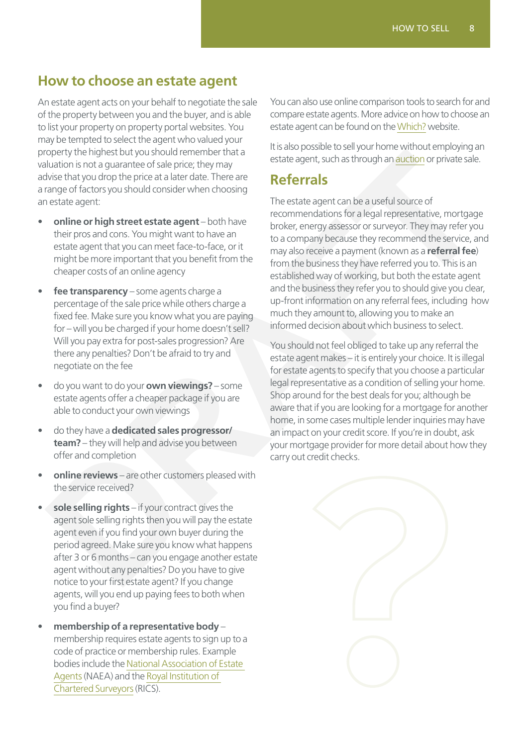# <span id="page-7-0"></span>**How to choose an estate agent**

An estate agent acts on your behalf to negotiate the sale of the property between you and the buyer, and is able to list your property on property portal websites. You may be tempted to select the agent who valued your property the highest but you should remember that a valuation is not a guarantee of sale price; they may advise that you drop the price at a later date. There are a range of factors you should consider when choosing an estate agent:

- **online or high street estate agent** both have their pros and cons. You might want to have an estate agent that you can meet face-to-face, or it might be more important that you benefit from the cheaper costs of an online agency
- **fee transparency** some agents charge a percentage of the sale price while others charge a fixed fee. Make sure you know what you are paying for – will you be charged if your home doesn't sell? Will you pay extra for post-sales progression? Are there any penalties? Don't be afraid to try and negotiate on the fee
- do you want to do your **own viewings?** some estate agents offer a cheaper package if you are able to conduct your own viewings
- do they have a **dedicated sales progressor/ team?** – they will help and advise you between offer and completion
- **online reviews** are other customers pleased with the service received?
- sole selling rights if your contract gives the agent sole selling rights then you will pay the estate agent even if you find your own buyer during the period agreed. Make sure you know what happens after 3 or 6 months – can you engage another estate agent without any penalties? Do you have to give notice to your first estate agent? If you change agents, will you end up paying fees to both when you find a buyer?
- **membership of a representative body** membership requires estate agents to sign up to a code of practice or membership rules. Example bodies include the [National Association of Estate](http://www.naea.co.uk/find-agent.aspx)  [Agents](http://www.naea.co.uk/find-agent.aspx) (NAEA) and the [Royal Institution of](https://www.rics.org/uk)  [Chartered Surveyors](https://www.rics.org/uk) (RICS).

You can also use online comparison tools to search for and compare estate agents. More advice on how to choose an estate agent can be found on the [Which?](https://www.which.co.uk/money/mortgages-and-property/home-movers/selling-a-house/how-to-find-the-best-estate-agent-a5cf52k9rk70) website.

It is also possible to sell your home without employing an estate agent, such as through an auction or private sale.

# **Referrals**

The estate agent can be a useful source of recommendations for a legal representative, mortgage broker, energy assessor or surveyor. They may refer you to a company because they recommend the service, and may also receive a payment (known as a **referral fee**) from the business they have referred you to. This is an established way of working, but both the estate agent and the business they refer you to should give you clear, up-front information on any referral fees, including how much they amount to, allowing you to make an informed decision about which business to select. operly the highest but you should terminder that in the case of the highest but the state and through that is the component of the present of the present of the present of the present of the property of the present of the

You should not feel obliged to take up any referral the estate agent makes – it is entirely your choice. It is illegal for estate agents to specify that you choose a particular legal representative as a condition of selling your home. Shop around for the best deals for you; although be aware that if you are looking for a mortgage for another home, in some cases multiple lender inquiries may have an impact on your credit score. If you're in doubt, ask your mortgage provider for more detail about how they carry out credit checks.

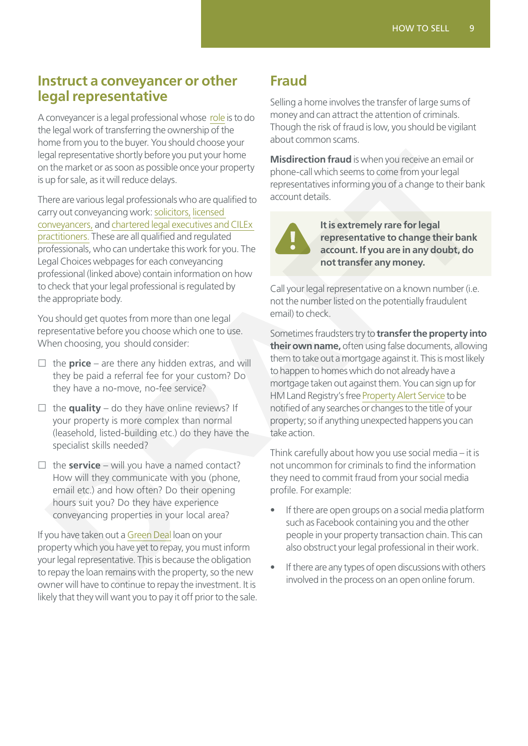### <span id="page-8-0"></span>**Instruct a conveyancer or other legal representative**

A conveyancer is a legal professional whose [role](https://www.moneyadviceservice.org.uk/en/articles/find-the-right-solicitor-or-conveyancer) is to do the legal work of transferring the ownership of the home from you to the buyer. You should choose your legal representative shortly before you put your home on the market or as soon as possible once your property is up for sale, as it will reduce delays.

There are various legal professionals who are qualified to carry out conveyancing work: solicitors, licensed conveyancers, and chartered legal executives and CILEx practitioners. These are all qualified and regulated professionals, who can undertake this work for you. The Legal Choices webpages for each conveyancing professional (linked above) contain information on how to check that your legal professional is regulated by the appropriate body.

You should get quotes from more than one legal representative before you choose which one to use. When choosing, you should consider:

- $\Box$  the **price** are there any hidden extras, and will they be paid a referral fee for your custom? Do they have a no-move, no-fee service?
- $\Box$  the **quality** do they have online reviews? If your property is more complex than normal (leasehold, listed-building etc.) do they have the specialist skills needed?
- $\Box$  the **service** will you have a named contact? How will they communicate with you (phone, email etc.) and how often? Do their opening hours suit you? Do they have experience conveyancing properties in your local area?

If you have taken out a Green Deal loan on your property which you have yet to repay, you must inform your legal representative. This is because the obligation to repay the loan remains with the property, so the new owner will have to continue to repay the investment. It is likely that they will want you to pay it off prior to the sale.

# **Fraud**

Selling a home involves the transfer of large sums of money and can attract the attention of criminals. Though the risk of fraud is low, you should be vigilant about common scams.

**Misdirection fraud** is when you receive an email or phone-call which seems to come from your legal representatives informing you of a change to their bank account details.



**It is extremely rare for legal representative to change their bank account. If you are in any doubt, do not transfer any money.**

Call your legal representative on a known number (i.e. not the number listed on the potentially fraudulent email) to check.

Sometimes fraudsters try to **transfer the property into their own name,** often using false documents, allowing them to take out a mortgage against it. This is most likely to happen to homes which do not already have a mortgage taken out against them. You can sign up for HM Land Registry's free Property Alert Service to be notified of any searches or changes to the title of your property; so if anything unexpected happens you can take action. contential shortly before you any to the method of the the state of the state of the state of the state of the state of the state of the state of the state of the state of the state of the state of the state of the state o

Think carefully about how you use social media – it is not uncommon for criminals to find the information they need to commit fraud from your social media profile. For example:

- If there are open groups on a social media platform such as Facebook containing you and the other people in your property transaction chain. This can also obstruct your legal professional in their work.
- If there are any types of open discussions with others involved in the process on an open online forum.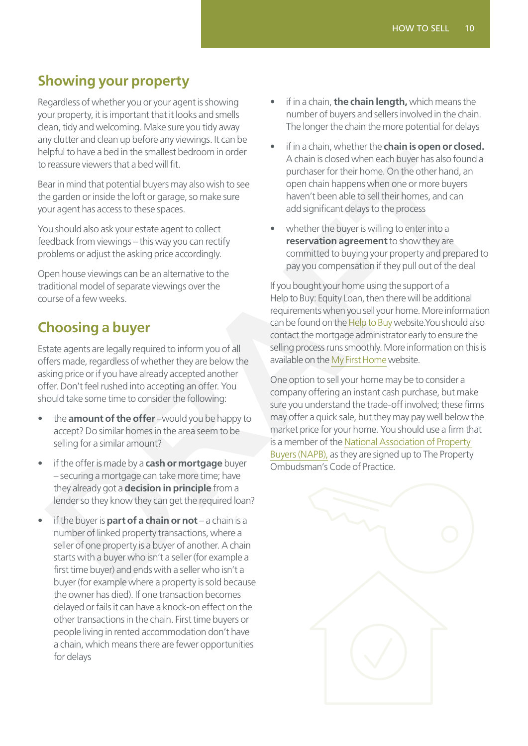# <span id="page-9-0"></span>**Showing your property**

Regardless of whether you or your agent is showing your property, it is important that it looks and smells clean, tidy and welcoming. Make sure you tidy away any clutter and clean up before any viewings. It can be helpful to have a bed in the smallest bedroom in order to reassure viewers that a bed will fit.

Bear in mind that potential buyers may also wish to see the garden or inside the loft or garage, so make sure your agent has access to these spaces.

You should also ask your estate agent to collect feedback from viewings – this way you can rectify problems or adjust the asking price accordingly.

Open house viewings can be an alternative to the traditional model of separate viewings over the course of a few weeks.

# **Choosing a buyer**

Estate agents are legally required to inform you of all offers made, regardless of whether they are below the asking price or if you have already accepted another offer. Don't feel rushed into accepting an offer. You should take some time to consider the following:

- the **amount of the offer** –would you be happy to accept? Do similar homes in the area seem to be selling for a similar amount?
- if the offer is made by a **cash or mortgage** buyer – securing a mortgage can take more time; have they already got a **decision in principle** from a lender so they know they can get the required loan?
- if the buyer is **part of a chain or not**  a chain is a number of linked property transactions, where a seller of one property is a buyer of another. A chain starts with a buyer who isn't a seller (for example a first time buyer) and ends with a seller who isn't a buyer (for example where a property is sold because the owner has died). If one transaction becomes delayed or fails it can have a knock-on effect on the other transactions in the chain. First time buyers or people living in rented accommodation don't have a chain, which means there are fewer opportunities for delays
- if in a chain, **the chain length,** which means the number of buyers and sellers involved in the chain. The longer the chain the more potential for delays
- if in a chain, whether the **chain is open or closed.** A chain is closed when each buyer has also found a purchaser for their home. On the other hand, an open chain happens when one or more buyers haven't been able to sell their homes, and can add significant delays to the process
- whether the buyer is willing to enter into a **reservation agreement** to show they are committed to buying your property and prepared to pay you compensation if they pull out of the deal

If you bought your home using the support of a Help to Buy: Equity Loan, then there will be additional requirements when you sell your home. More information can be found on the Help to Buy website.You should also contact the mortgage administrator early to ensure the selling process runs smoothly. More information on this is available on the My First Home website.

One option to sell your home may be to consider a company offering an instant cash purchase, but make sure you understand the trade-off involved; these firms may offer a quick sale, but they may pay well below the market price for your home. You should use a firm that is a member of the National Association of Property Buyers (NAPB), as they are signed up to The Property Ombudsman's Code of Practice.

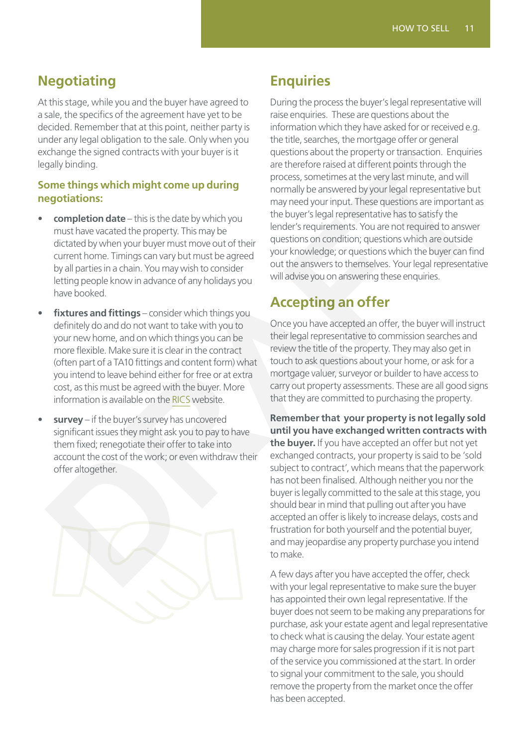# <span id="page-10-0"></span>**Negotiating**

At this stage, while you and the buyer have agreed to a sale, the specifics of the agreement have yet to be decided. Remember that at this point, neither party is under any legal obligation to the sale. Only when you exchange the signed contracts with your buyer is it legally binding.

#### **Some things which might come up during negotiations:**

- **completion date** this is the date by which you must have vacated the property. This may be dictated by when your buyer must move out of their current home. Timings can vary but must be agreed by all parties in a chain. You may wish to consider letting people know in advance of any holidays you have booked.
- fixtures and fittings consider which things you definitely do and do not want to take with you to your new home, and on which things you can be more flexible. Make sure it is clear in the contract (often part of a TA10 fittings and content form) what you intend to leave behind either for free or at extra cost, as this must be agreed with the buyer. More information is available on the RICS website.
- survey if the buyer's survey has uncovered significant issues they might ask you to pay to have them fixed; renegotiate their offer to take into account the cost of the work; or even withdraw their offer altogether.



# **Enquiries**

During the process the buyer's legal representative will raise enquiries. These are questions about the information which they have asked for or received e.g. the title, searches, the mortgage offer or general questions about the property or transaction. Enquiries are therefore raised at different points through the process, sometimes at the very last minute, and will normally be answered by your legal representative but may need your input. These questions are important as the buyer's legal representative has to satisfy the lender's requirements. You are not required to answer questions on condition; questions which are outside your knowledge; or questions which the buyer can find out the answers to themselves. Your legal representative will advise you on answering these enquiries.

# **Accepting an offer**

Once you have accepted an offer, the buyer will instruct their legal representative to commission searches and review the title of the property. They may also get in touch to ask questions about your home, or ask for a mortgage valuer, surveyor or builder to have access to carry out property assessments. These are all good signs that they are committed to purchasing the property.

**Remember that your property is not legally sold until you have exchanged written contracts with the buyer.** If you have accepted an offer but not yet exchanged contracts, your property is said to be 'sold subject to contract', which means that the paperwork has not been finalised. Although neither you nor the buyer is legally committed to the sale at this stage, you should bear in mind that pulling out after you have accepted an offer is likely to increase delays, costs and frustration for both yourself and the potential buyer, and may jeopardise any property purchase you intend to make. Change the signed contracts with your buyer is it.<br>
and the ference raised at different points from oursel to the comparison and the property or terms of the signed to the signed to the signed to the signed to the signed t

A few days after you have accepted the offer, check with your legal representative to make sure the buyer has appointed their own legal representative. If the buyer does not seem to be making any preparations for purchase, ask your estate agent and legal representative to check what is causing the delay. Your estate agent may charge more for sales progression if it is not part of the service you commissioned at the start. In order to signal your commitment to the sale, you should remove the property from the market once the offer has been accepted.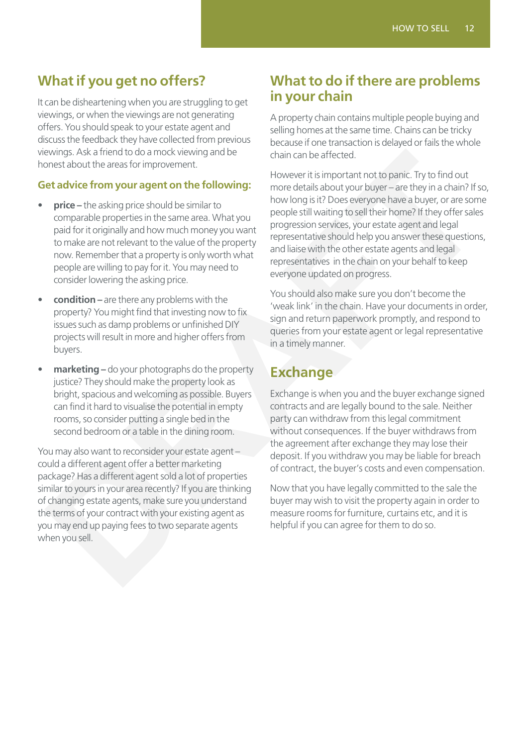# <span id="page-11-0"></span>**What if you get no offers?**

It can be disheartening when you are struggling to get viewings, or when the viewings are not generating offers. You should speak to your estate agent and discuss the feedback they have collected from previous viewings. Ask a friend to do a mock viewing and be honest about the areas for improvement.

#### **Get advice from your agent on the following:**

- **price** the asking price should be similar to comparable properties in the same area. What you paid for it originally and how much money you want to make are not relevant to the value of the property now. Remember that a property is only worth what people are willing to pay for it. You may need to consider lowering the asking price.
- **condition** are there any problems with the property? You might find that investing now to fix issues such as damp problems or unfinished DIY projects will result in more and higher offers from buyers.
- **marketing** do your photographs do the property justice? They should make the property look as bright, spacious and welcoming as possible. Buyers can find it hard to visualise the potential in empty rooms, so consider putting a single bed in the second bedroom or a table in the dining room.

You may also want to reconsider your estate agent – could a different agent offer a better marketing package? Has a different agent sold a lot of properties similar to yours in your area recently? If you are thinking of changing estate agents, make sure you understand the terms of your contract with your existing agent as you may end up paying fees to two separate agents when you sell.

### **What to do if there are problems in your chain**

A property chain contains multiple people buying and selling homes at the same time. Chains can be tricky because if one transaction is delayed or fails the whole chain can be affected.

However it is important not to panic. Try to find out more details about your buyer – are they in a chain? If so, how long is it? Does everyone have a buyer, or are some people still waiting to sell their home? If they offer sales progression services, your estate agent and legal representative should help you answer these questions, and liaise with the other estate agents and legal representatives in the chain on your behalf to keep everyone updated on progress. ewing, A&ls a friend to do a mock viewing and be<br> **Exchangion** and the most of the proton concert and the following:<br> **Exchangion** and the following inverse details about your buyer-are they in a chain? If s<br> **DRAFT DRAFT** 

You should also make sure you don't become the 'weak link' in the chain. Have your documents in order, sign and return paperwork promptly, and respond to queries from your estate agent or legal representative in a timely manner.

# **Exchange**

Exchange is when you and the buyer exchange signed contracts and are legally bound to the sale. Neither party can withdraw from this legal commitment without consequences. If the buyer withdraws from the agreement after exchange they may lose their deposit. If you withdraw you may be liable for breach of contract, the buyer's costs and even compensation.

Now that you have legally committed to the sale the buyer may wish to visit the property again in order to measure rooms for furniture, curtains etc, and it is helpful if you can agree for them to do so.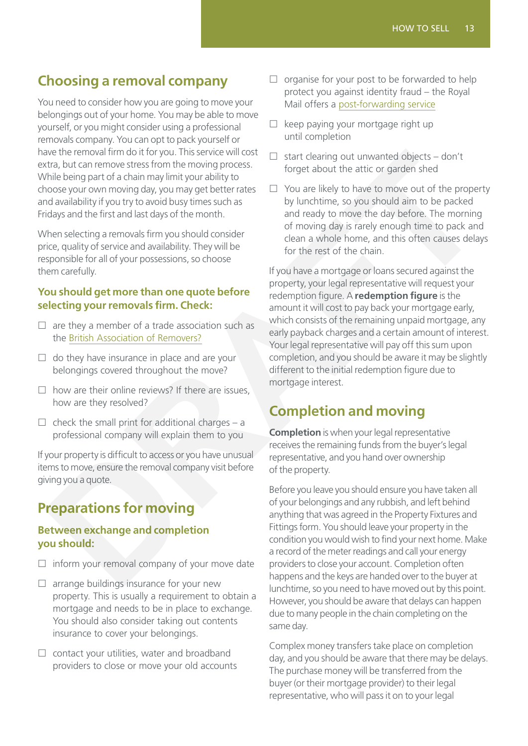# <span id="page-12-0"></span>**Choosing a removal company**

You need to consider how you are going to move your belongings out of your home. You may be able to move yourself, or you might consider using a professional removals company. You can opt to pack yourself or have the removal firm do it for you. This service will cost extra, but can remove stress from the moving process. While being part of a chain may limit your ability to choose your own moving day, you may get better rates and availability if you try to avoid busy times such as Fridays and the first and last days of the month.

When selecting a removals firm you should consider price, quality of service and availability. They will be responsible for all of your possessions, so choose them carefully.

#### **You should get more than one quote before selecting your removals firm. Check:**

- $\Box$  are they a member of a trade association such as the British Association of Removers?
- $\Box$  do they have insurance in place and are your belongings covered throughout the move?
- $\square$  how are their online reviews? If there are issues, how are they resolved?
- $\Box$  check the small print for additional charges a professional company will explain them to you

If your property is difficult to access or you have unusual items to move, ensure the removal company visit before giving you a quote.

# **Preparations for moving**

#### **Between exchange and completion you should:**

- $\Box$  inform your removal company of your move date
- $\square$  arrange buildings insurance for your new property. This is usually a requirement to obtain a mortgage and needs to be in place to exchange. You should also consider taking out contents insurance to cover your belongings.
- $\square$  contact your utilities, water and broadband providers to close or move your old accounts
- $\square$  organise for your post to be forwarded to help protect you against identity fraud – the Royal Mail offers a [post-forwarding service](https://www.royalmail.com/personal/receiving-mail/redirection/)
- $\Box$  keep paying your mortgage right up until completion
- $\Box$  start clearing out unwanted objects don't forget about the attic or garden shed
- $\Box$  You are likely to have to move out of the property by lunchtime, so you should aim to be packed and ready to move the day before. The morning of moving day is rarely enough time to pack and clean a whole home, and this often causes delays for the rest of the chain.

If you have a mortgage or loans secured against the property, your legal representative will request your redemption figure. A **redemption figure** is the amount it will cost to pay back your mortgage early, which consists of the remaining unpaid mortgage, any early payback charges and a certain amount of interest. Your legal representative will pay off this sum upon completion, and you should be aware it may be slightly different to the initial redemption figure due to mortgage interest. Free interval firm do it for you. This service will conside the energy and the energy and the term of a chain may limit you to property is and the property of a chain may limit you to property a but the constrained objects

# **Completion and moving**

**Completion** is when your legal representative receives the remaining funds from the buyer's legal representative, and you hand over ownership of the property.

Before you leave you should ensure you have taken all of your belongings and any rubbish, and left behind anything that was agreed in the Property Fixtures and Fittings form. You should leave your property in the condition you would wish to find your next home. Make a record of the meter readings and call your energy providers to close your account. Completion often happens and the keys are handed over to the buyer at lunchtime, so you need to have moved out by this point. However, you should be aware that delays can happen due to many people in the chain completing on the same day.

Complex money transfers take place on completion day, and you should be aware that there may be delays. The purchase money will be transferred from the buyer (or their mortgage provider) to their legal representative, who will pass it on to your legal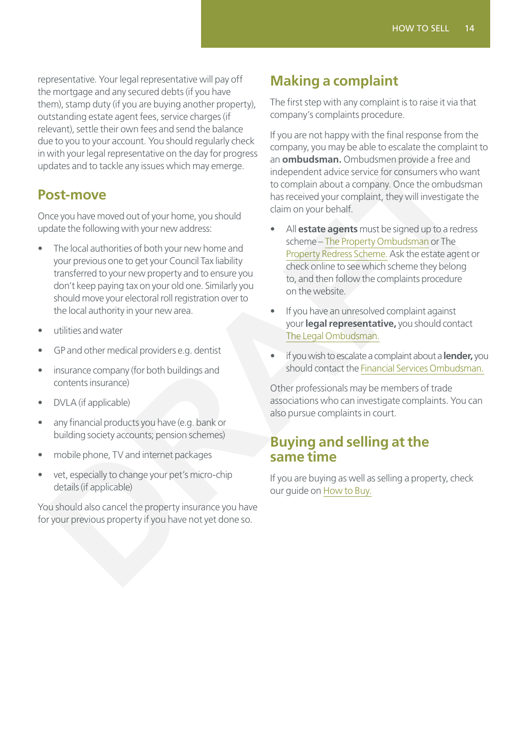<span id="page-13-0"></span>representative. Your legal representative will pay off the mortgage and any secured debts (if you have them), stamp duty (if you are buying another property), outstanding estate agent fees, service charges (if relevant), settle their own fees and send the balance due to you to your account. You should regularly check in with your legal representative on the day for progress updates and to tackle any issues which may emerge.

### <span id="page-13-1"></span>**Post-move**

Once you have moved out of your home, you should update the following with your new address:

- The local authorities of both your new home and your previous one to get your Council Tax liability transferred to your new property and to ensure you don't keep paying tax on your old one. Similarly you should move your electoral roll registration over to the local authority in your new area.
- utilities and water
- GP and other medical providers e.g. dentist
- insurance company (for both buildings and contents insurance)
- DVLA (if applicable)
- any financial products you have (e.g. bank or building society accounts; pension schemes)
- mobile phone, TV and internet packages
- vet, especially to change your pet's micro-chip details (if applicable)

You should also cancel the property insurance you have for your previous property if you have not yet done so.

# **Making a complaint**

The first step with any complaint is to raise it via that company's complaints procedure.

If you are not happy with the final response from the company, you may be able to escalate the complaint to an **ombudsman.** Ombudsmen provide a free and independent advice service for consumers who want to complain about a company. Once the ombudsman has received your complaint, they will investigate the claim on your behalf.

- All **estate agents** must be signed up to a redress scheme – The Property Ombudsman or The Property Redress Scheme. Ask the estate agent or check online to see which scheme they belong to, and then follow the complaints procedure on the website. with your legal representative you boutdom the day for progress<br>
and **onbudstman.** Ontuits provide a line and<br>
date and to tackle any issues which may emerge.<br> **COMPONEM about COMPUT CONSULT TOWER THE CONSULT [A](http://www.legalombudsman.org.uk/)ND [T](https://www.tpos.co.uk/)HE CONSU** 
	- If you have an unresolved complaint against your **legal representative,** you should contact The Legal Ombudsman.
	- if you wish to escalate a complaint about a **lender,** you should contact the Financial Services Ombudsman.

Other professionals may be members of trade associations who can investigate complaints. You can also pursue complaints in court.

### **Buying and selling at the same time**

If you are buying as well as selling a property, check our guide on How to Buy.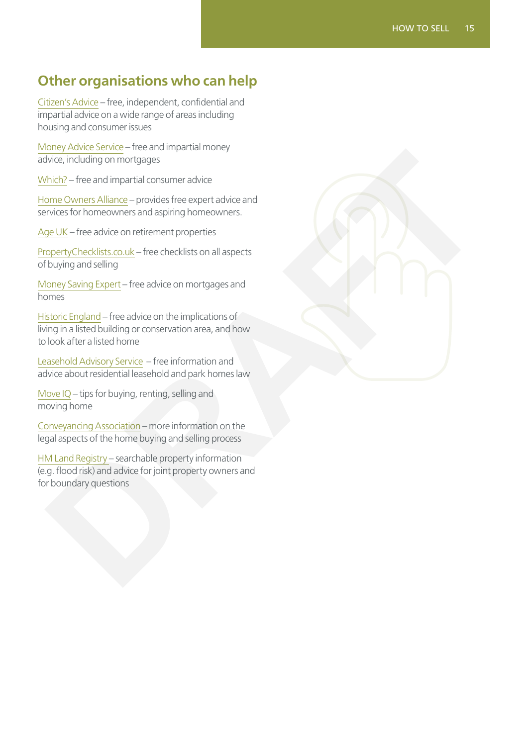# <span id="page-14-0"></span>**Other organisations who can help**

[Citizen's Advice](https://www.citizensadvice.org.uk/housing/moving-and-improving-your-home/) – free, independent, confidential and impartial advice on a wide range of areas including housing and consumer issues

[Money Advice Service](https://www.moneyadviceservice.org.uk/en/categories/mortgages) – free and impartial money advice, including on mortgages

[Which?](https://www.which.co.uk/money/mortgages-and-property) – free and impartial consumer advice

Home Owners Alliance – provides free expert advice and services for homeowners and aspiring homeowners.

[Age UK](https://www.ageuk.org.uk/information-advice/care/housing-options/) – free advice on retirement properties

PropertyChecklists.co.uk – free checklists on all aspects of buying and selling

Money Saving Expert – free advice on mortgages and homes

Historic England – free advice on the implications of living in a listed building or conservation area, and how to look after a listed home

Leasehold Advisory Service – free information and advice about residential leasehold and park homes law

[Move IQ](https://www.moveiq.co.uk/) – tips for buying, renting, selling and moving home

Conveyancing Association – more information on the legal aspects of the home buying and selling process

HM Land Registry – searchable property information (e.g. flood risk) and advice for joint property owners and for boundary questions blive, including on mortgages<br>
whice, including on mortgages<br>
the child man environment advice<br>
more convers all ance — provedes free expect advice and<br>
environment and speinting in omerowners.<br>
<u>Be UK</u> – free advice on me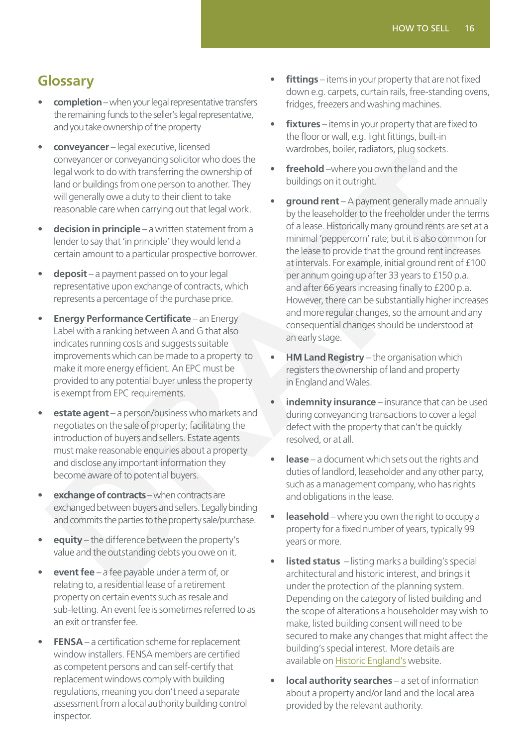# <span id="page-15-0"></span>**Glossary**

- **completion** when your legal representative transfers the remaining funds to the seller's legal representative, and you take ownership of the property
- **conveyancer** legal executive, licensed conveyancer or conveyancing solicitor who does the legal work to do with transferring the ownership of land or buildings from one person to another. They will generally owe a duty to their client to take reasonable care when carrying out that legal work.
- **decision in principle** a written statement from a lender to say that 'in principle' they would lend a certain amount to a particular prospective borrower.
- **deposit** a payment passed on to your legal representative upon exchange of contracts, which represents a percentage of the purchase price.
- **Energy Performance Certificate** an Energy Label with a ranking between A and G that also indicates running costs and suggests suitable improvements which can be made to a property to make it more energy efficient. An EPC must be provided to any potential buyer unless the property is exempt from EPC requirements.
- **estate agent** a person/business who markets and negotiates on the sale of property; facilitating the introduction of buyers and sellers. Estate agents must make reasonable enquiries about a property and disclose any important information they become aware of to potential buyers.
- **exchange of contracts** when contracts are exchanged between buyers and sellers. Legally binding and commits the parties to the property sale/purchase.
- **equity** the difference between the property's value and the outstanding debts you owe on it.
- **event fee** a fee payable under a term of, or relating to, a residential lease of a retirement property on certain events such as resale and sub-letting. An event fee is sometimes referred to as an exit or transfer fee.
- **FENSA** a certification scheme for replacement window installers. FENSA members are certified as competent persons and can self-certify that replacement windows comply with building regulations, meaning you don't need a separate assessment from a local authority building control inspector.
- **fittings** items in your property that are not fixed down e.g. carpets, curtain rails, free-standing ovens, fridges, freezers and washing machines.
- **fixtures** items in your property that are fixed to the floor or wall, e.g. light fittings, built-in wardrobes, boiler, radiators, plug sockets.
- **freehold** –where you own the land and the buildings on it outright.
- **ground rent** A payment generally made annually by the leaseholder to the freeholder under the terms of a lease. Historically many ground rents are set at a minimal 'peppercorn' rate; but it is also common for the lease to provide that the ground rent increases at intervals. For example, initial ground rent of £100 per annum going up after 33 years to £150 p.a. and after 66 years increasing finally to £200 p.a. However, there can be substantially higher increases and more regular changes, so the amount and any consequential changes should be understood at an early stage. Converting that the statement in the time of the state of the statement in the statement of the statement of the statement of the statement of the statement of the statement of the statement of the statement of the stateme
	- **HM Land Registry** the organisation which registers the ownership of land and property in England and Wales.
	- **indemnity insurance**  insurance that can be used during conveyancing transactions to cover a legal defect with the property that can't be quickly resolved, or at all.
	- **lease** a document which sets out the rights and duties of landlord, leaseholder and any other party, such as a management company, who has rights and obligations in the lease.
	- **leasehold** where you own the right to occupy a property for a fixed number of years, typically 99 years or more.
	- **listed status**  listing marks a building's special architectural and historic interest, and brings it under the protection of the planning system. Depending on the category of listed building and the scope of alterations a householder may wish to make, listed building consent will need to be secured to make any changes that might affect the building's special interest. More details are available on [Historic England's](https://historicengland.org.uk/listing/what-is-designation/listed-buildings/) website.
	- **local authority searches** a set of information about a property and/or land and the local area provided by the relevant authority.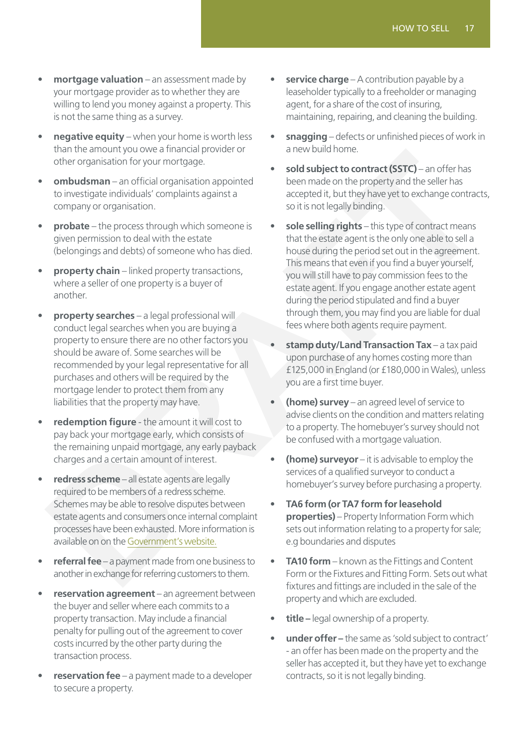- **mortgage valuation** an assessment made by your mortgage provider as to whether they are willing to lend you money against a property. This is not the same thing as a survey.
- **negative equity** when your home is worth less than the amount you owe a financial provider or other organisation for your mortgage.
- **ombudsman**  an official organisation appointed to investigate individuals' complaints against a company or organisation.
- **probate** the process through which someone is given permission to deal with the estate (belongings and debts) of someone who has died.
- **property chain** linked property transactions, where a seller of one property is a buyer of another.
- **property searches** a legal professional will conduct legal searches when you are buying a property to ensure there are no other factors you should be aware of. Some searches will be recommended by your legal representative for all purchases and others will be required by the mortgage lender to protect them from any liabilities that the property may have.
- **redemption figure** the amount it will cost to pay back your mortgage early, which consists of the remaining unpaid mortgage, any early payback charges and a certain amount of interest.
- **redress scheme** all estate agents are legally required to be members of a redress scheme. Schemes may be able to resolve disputes between estate agents and consumers once internal complaint processes have been exhausted. More information is available on on the Government's website.
- **referral fee** a payment made from one business to another in exchange for referring customers to them.
- **reservation agreement** an agreement between the buyer and seller where each commits to a property transaction. May include a financial penalty for pulling out of the agreement to cover costs incurred by the other party during the transaction process.
- **reservation fee** a payment made to a developer to secure a property.
- **service charge** A contribution payable by a leaseholder typically to a freeholder or managing agent, for a share of the cost of insuring, maintaining, repairing, and cleaning the building.
- **snagging** defects or unfinished pieces of work in a new build home.
- sold subject to contract (SSTC) an offer has been made on the property and the seller has accepted it, but they have yet to exchange contracts, so it is not legally binding.
- sole selling rights this type of contract means that the estate agent is the only one able to sell a house during the period set out in the agreement. This means that even if you find a buyer yourself, you will still have to pay commission fees to the estate agent. If you engage another estate agent during the period stipulated and find a buyer through them, you may find you are liable for dual fees where both agents require payment. The Herican Vigoritative Controlling the priori of the the controlling to the properties the binding the properties and the controlling to the controlling to the controlling the controlling to the controlling to the contro
	- **stamp duty/Land Transaction Tax** a tax paid upon purchase of any homes costing more than £125,000 in England (or £180,000 in Wales), unless you are a first time buyer.
	- **(home) survey** an agreed level of service to advise clients on the condition and matters relating to a property. The homebuyer's survey should not be confused with a mortgage valuation.
	- **(home) surveyor** it is advisable to employ the services of a qualified surveyor to conduct a homebuyer's survey before purchasing a property.
	- **TA6 form (or TA7 form for leasehold properties)** – Property Information Form which sets out information relating to a property for sale; e.g boundaries and disputes
	- **TA10 form** known as the Fittings and Content Form or the Fixtures and Fitting Form. Sets out what fixtures and fittings are included in the sale of the property and which are excluded.
	- **title** legal ownership of a property.
	- **under offer –** the same as 'sold subject to contract' - an offer has been made on the property and the seller has accepted it, but they have yet to exchange contracts, so it is not legally binding.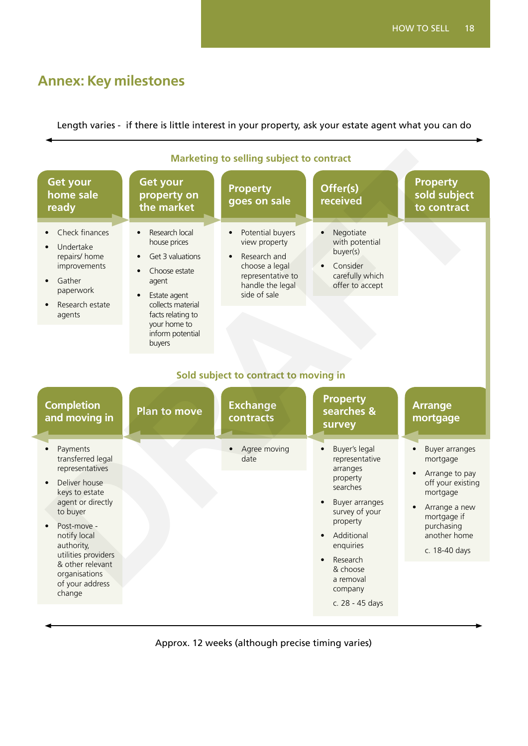# <span id="page-17-0"></span>**Annex: Key milestones**

Length varies - if there is little interest in your property, ask your estate agent what you can do

| <b>Marketing to selling subject to contract</b>                                                                                                                                                                                                                         |                                                                                                                                                                                                                                                    |                                                                                                                                                                                                                    |                                                                                                                                                                                                                                          |                                                                                                                                                              |  |  |
|-------------------------------------------------------------------------------------------------------------------------------------------------------------------------------------------------------------------------------------------------------------------------|----------------------------------------------------------------------------------------------------------------------------------------------------------------------------------------------------------------------------------------------------|--------------------------------------------------------------------------------------------------------------------------------------------------------------------------------------------------------------------|------------------------------------------------------------------------------------------------------------------------------------------------------------------------------------------------------------------------------------------|--------------------------------------------------------------------------------------------------------------------------------------------------------------|--|--|
| <b>Get your</b><br>home sale<br>ready                                                                                                                                                                                                                                   | Get your<br>property on<br>the market                                                                                                                                                                                                              | <b>Property</b><br>goes on sale                                                                                                                                                                                    | Offer(s)<br>received                                                                                                                                                                                                                     | <b>Property</b><br>sold subject<br>to contract                                                                                                               |  |  |
| Check finances<br>Undertake<br>repairs/ home<br>improvements<br>Gather<br>paperwork<br>Research estate<br>agents<br><b>Completion</b><br>and moving in                                                                                                                  | Research local<br>$\bullet$<br>house prices<br>Get 3 valuations<br>Choose estate<br>$\bullet$<br>agent<br>Estate agent<br>$\bullet$<br>collects material<br>facts relating to<br>your home to<br>inform potential<br>buyers<br><b>Plan to move</b> | Potential buyers<br>$\bullet$<br>view property<br>Research and<br>choose a legal<br>representative to<br>handle the legal<br>side of sale<br>Sold subject to contract to moving in<br><b>Exchange</b><br>contracts | Negotiate<br>with potential<br>buyer(s)<br>Consider<br>carefully which<br>offer to accept<br><b>Property</b><br>searches &                                                                                                               | <b>Arrange</b><br>mortgage                                                                                                                                   |  |  |
| Payments<br>$\bullet$<br>transferred legal<br>representatives<br>Deliver house<br>keys to estate<br>agent or directly<br>to buyer<br>Post-move -<br>notify local<br>authority,<br>utilities providers<br>& other relevant<br>organisations<br>of your address<br>change |                                                                                                                                                                                                                                                    | Agree moving<br>date                                                                                                                                                                                               | survey<br>Buyer's legal<br>$\bullet$<br>representative<br>arranges<br>property<br>searches<br>Buyer arranges<br>survey of your<br>property<br>Additional<br>enquiries<br>Research<br>& choose<br>a removal<br>company<br>c. 28 - 45 days | Buyer arranges<br>mortgage<br>Arrange to pay<br>off your existing<br>mortgage<br>Arrange a new<br>mortgage if<br>purchasing<br>another home<br>c. 18-40 days |  |  |

Approx. 12 weeks (although precise timing varies)